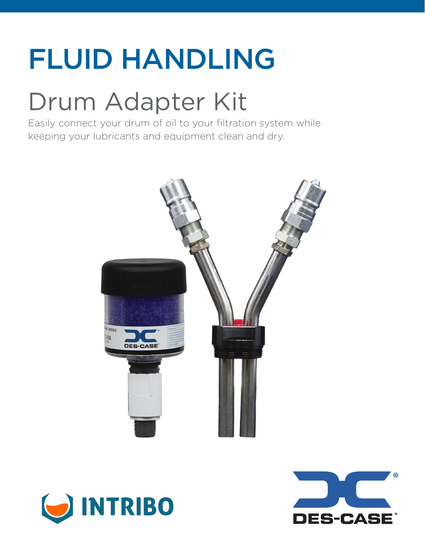## FLUID HANDLING

### Drum Adapter Kit

Easily connect your drum of oil to your filtration system while keeping your lubricants and equipment clean and dry.





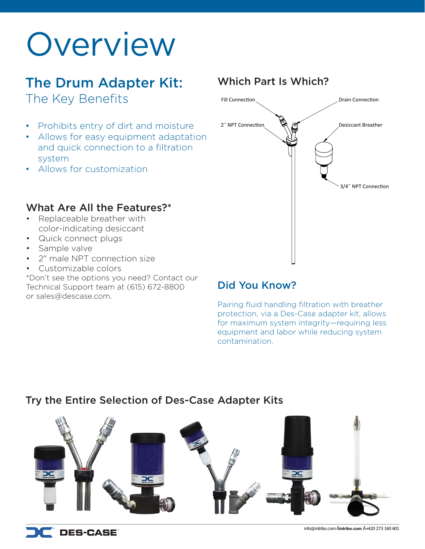## **Overview**

### The Drum Adapter Kit: The Key Benefits

- Prohibits entry of dirt and moisture
- Allows for easy equipment adaptation and quick connection to a filtration system
- Allows for customization

### What Are All the Features?\*

- Replaceable breather with color-indicating desiccant
- Quick connect plugs
- Sample valve
- 2" male NPT connection size
- Customizable colors

\*Don't see the options you need? Contact our Technical Support team at (615) 672-8800 or sales@descase.com.

### Which Part Is Which?



### Did You Know?

Pairing fluid handling filtration with breather protection, via a Des-Case adapter kit, allows for maximum system integrity—requiring less equipment and labor while reducing system contamination.

### Try the Entire Selection of Des-Case Adapter Kits